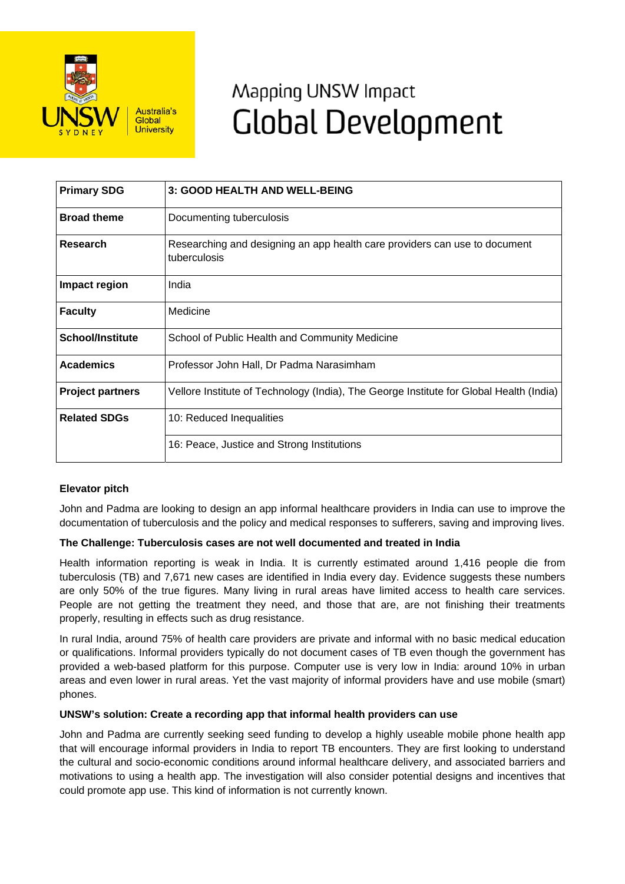

# Mapping UNSW Impact **Global Development**

| <b>Primary SDG</b>      | 3: GOOD HEALTH AND WELL-BEING                                                              |
|-------------------------|--------------------------------------------------------------------------------------------|
| <b>Broad theme</b>      | Documenting tuberculosis                                                                   |
| Research                | Researching and designing an app health care providers can use to document<br>tuberculosis |
| Impact region           | India                                                                                      |
| <b>Faculty</b>          | Medicine                                                                                   |
| <b>School/Institute</b> | School of Public Health and Community Medicine                                             |
| <b>Academics</b>        | Professor John Hall, Dr Padma Narasimham                                                   |
| <b>Project partners</b> | Vellore Institute of Technology (India), The George Institute for Global Health (India)    |
| <b>Related SDGs</b>     | 10: Reduced Inequalities                                                                   |
|                         | 16: Peace, Justice and Strong Institutions                                                 |

## **Elevator pitch**

John and Padma are looking to design an app informal healthcare providers in India can use to improve the documentation of tuberculosis and the policy and medical responses to sufferers, saving and improving lives.

### **The Challenge: Tuberculosis cases are not well documented and treated in India**

Health information reporting is weak in India. It is currently estimated around 1,416 people die from tuberculosis (TB) and 7,671 new cases are identified in India every day. Evidence suggests these numbers are only 50% of the true figures. Many living in rural areas have limited access to health care services. People are not getting the treatment they need, and those that are, are not finishing their treatments properly, resulting in effects such as drug resistance.

In rural India, around 75% of health care providers are private and informal with no basic medical education or qualifications. Informal providers typically do not document cases of TB even though the government has provided a web-based platform for this purpose. Computer use is very low in India: around 10% in urban areas and even lower in rural areas. Yet the vast majority of informal providers have and use mobile (smart) phones.

### **UNSW's solution: Create a recording app that informal health providers can use**

John and Padma are currently seeking seed funding to develop a highly useable mobile phone health app that will encourage informal providers in India to report TB encounters. They are first looking to understand the cultural and socio-economic conditions around informal healthcare delivery, and associated barriers and motivations to using a health app. The investigation will also consider potential designs and incentives that could promote app use. This kind of information is not currently known.